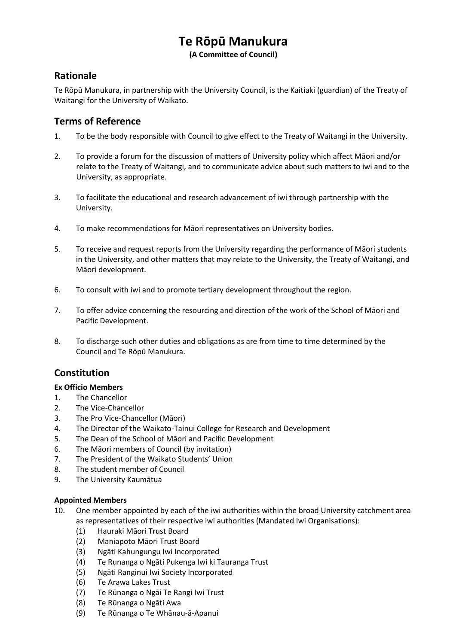# **Te Rōpū Manukura**

**(A Committee of Council)**

## **Rationale**

Te Rōpū Manukura, in partnership with the University Council, is the Kaitiaki (guardian) of the Treaty of Waitangi for the University of Waikato.

### **Terms of Reference**

- 1. To be the body responsible with Council to give effect to the Treaty of Waitangi in the University.
- 2. To provide a forum for the discussion of matters of University policy which affect Māori and/or relate to the Treaty of Waitangi, and to communicate advice about such matters to iwi and to the University, as appropriate.
- 3. To facilitate the educational and research advancement of iwi through partnership with the University.
- 4. To make recommendations for Māori representatives on University bodies.
- 5. To receive and request reports from the University regarding the performance of Māori students in the University, and other matters that may relate to the University, the Treaty of Waitangi, and Māori development.
- 6. To consult with iwi and to promote tertiary development throughout the region.
- 7. To offer advice concerning the resourcing and direction of the work of the School of Māori and Pacific Development.
- 8. To discharge such other duties and obligations as are from time to time determined by the Council and Te Rōpū Manukura.

## **Constitution**

#### **Ex Officio Members**

- 1. The Chancellor
- 2. The Vice-Chancellor
- 3. The Pro Vice-Chancellor (Māori)
- 4. The Director of the Waikato-Tainui College for Research and Development
- 5. The Dean of the School of Māori and Pacific Development
- 6. The Māori members of Council (by invitation)
- 7. The President of the Waikato Students' Union
- 8. The student member of Council
- 9. The University Kaumātua

#### **Appointed Members**

- 10. One member appointed by each of the iwi authorities within the broad University catchment area as representatives of their respective iwi authorities (Mandated Iwi Organisations):
	- (1) Hauraki Māori Trust Board
	- (2) Maniapoto Māori Trust Board
	- (3) Ngāti Kahungungu Iwi Incorporated
	- (4) Te Runanga o Ngāti Pukenga Iwi ki Tauranga Trust
	- (5) Ngāti Ranginui Iwi Society Incorporated
	- (6) Te Arawa Lakes Trust
	- (7) Te Rūnanga o Ngāi Te Rangi Iwi Trust
	- (8) Te Rūnanga o Ngāti Awa
	- (9) Te Rūnanga o Te Whānau-ā-Apanui